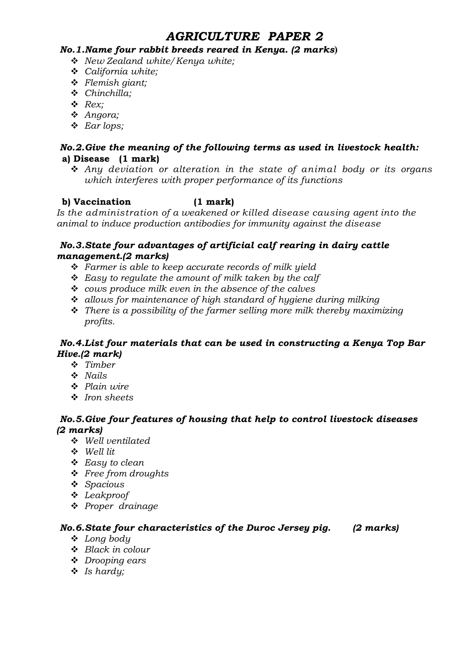# AGRICULTURE PAPER 2

#### No.1.Name four rabbit breeds reared in Kenya. (2 marks**)**

- \* New Zealand white/ Kenya white;
- \* California white;
- $\triangleleft$  Flemish giant;
- $\div$  Chinchilla;
- $\triangleleft$  Rex;
- v Angora;
- $\triangleleft$  Ear lops;

# No.2.Give the meaning of the following terms as used in livestock health: a) Disease (1 mark)

 $\hat{\mathbf{v}}$  Any deviation or alteration in the state of animal body or its organs which interferes with proper performance of its functions

# b) Vaccination (1 mark)

Is the administration of a weakened or killed disease causing agent into the animal to induce production antibodies for immunity against the disease

#### No.3.State four advantages of artificial calf rearing in dairy cattle management.(2 marks)

- $\div$  Farmer is able to keep accurate records of milk yield
- $\div$  Easy to regulate the amount of milk taken by the calf
- $\div$  cows produce milk even in the absence of the calves
- $\cdot$  allows for maintenance of high standard of hygiene during milking
- $\cdot \cdot$  There is a possibility of the farmer selling more milk thereby maximizing profits.

# No.4.List four materials that can be used in constructing a Kenya Top Bar Hive.(2 mark)

- $\div$  Timber
- $\cdot$  Nails
- $\triangle$  Plain wire
- v Iron sheets

# No.5.Give four features of housing that help to control livestock diseases (2 marks)

- $\div$  Well ventilated
- v Well lit
- $\triangle$  Easy to clean
- v Free from droughts
- $\triangleleft$  Spacious
- $\triangleleft$  Leakproof
- $\div$  Proper drainage

# No.6.State four characteristics of the Duroc Jersey pig. (2 marks)

- $\triangleleft$  Long body
- $\div$  Black in colour
- $\triangleleft$  Drooping ears
- $\triangleleft$  Is hardy;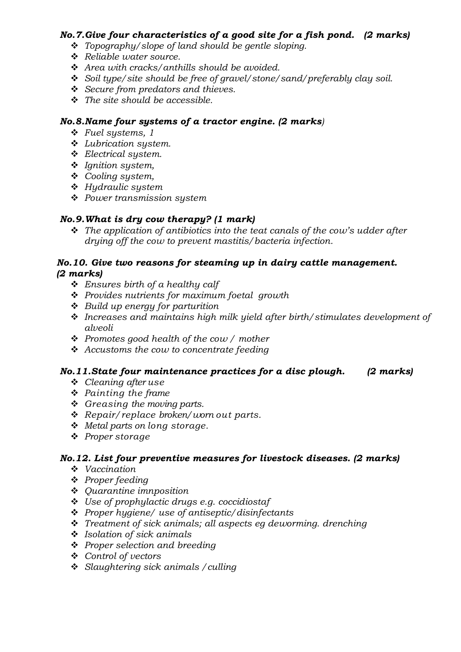# No.7.Give four characteristics of a good site for a fish pond. (2 marks)

- $\cdot$  Topography/slope of land should be gentle sloping.
- \* Reliable water source.
- $\triangleleft$  Area with cracks/anthills should be avoided.
- Soil type/site should be free of gravel/stone/sand/preferably clay soil.
- $\div$  Secure from predators and thieves.
- $\cdot \cdot$  The site should be accessible.

# No.8.Name four systems of a tractor engine. (2 marks)

- $\div$  Fuel systems, 1
- $\triangle$  Lubrication system.
- $\div$  Electrical system.
- $\div$  Ignition system,
- ◆ Cooling system,
- $\div$  Hydraulic system
- **❖** Power transmission system

# No.9.What is dry cow therapy? (1 mark)

 $\hat{\mathbf{v}}$  The application of antibiotics into the teat canals of the cow's udder after drying off the cow to prevent mastitis/bacteria infection.

#### No.10. Give two reasons for steaming up in dairy cattle management. (2 marks)

- $\div$  Ensures birth of a healthy calf
- \* Provides nutrients for maximum foetal growth
- $\div$  Build up energy for parturition
- $\cdot$  Increases and maintains high milk yield after birth/stimulates development of alveoli
- $\div$  Promotes good health of the cow / mother
- $\triangleleft$  Accustoms the cow to concentrate feeding

# No.11.State four maintenance practices for a disc plough. (2 marks)

- $\div$  Cleaning after use
- $\triangle$  Painting the frame
- $\div$  Greasing the moving parts.
- $\triangleleft$  Repair/replace broken/worn out parts.
- $\div$  Metal parts on long storage.
- v Proper storage

# No.12. List four preventive measures for livestock diseases. (2 marks)

- $\bullet$  Vaccination
- ❖ Proper feeding
- $\triangleleft$  Quarantine imnposition
- $\triangleleft$  Use of prophylactic drugs e.g. coccidiostaf
- $\div$  Proper hygiene/ use of antiseptic/disinfectants
- $\cdot$  Treatment of sick animals; all aspects eq deworming. drenching
- $\cdot$  Isolation of sick animals
- ❖ Proper selection and breeding
- v Control of vectors
- $\div$  Slaughtering sick animals / culling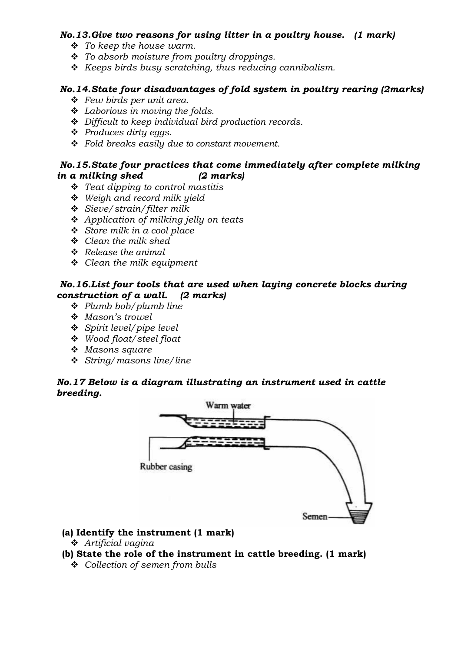# No.13.Give two reasons for using litter in a poultry house. (1 mark)

- $\div$  To keep the house warm.
- $\div$  To absorb moisture from poultry droppings.
- $\triangle$  Keeps birds busy scratching, thus reducing cannibalism.

# No.14.State four disadvantages of fold system in poultry rearing (2marks)

- $\div$  Few birds per unit area.
- $\triangleleft$  Laborious in moving the folds.
- $\div$  Difficult to keep individual bird production records.
- $\triangleleft$  Produces dirty eggs.
- $\div$  Fold breaks easily due to constant movement.

#### No.15.State four practices that come immediately after complete milking in a milking shed (2 marks)

- $\div$  Teat dipping to control mastitis
- $\div$  Weigh and record milk yield
- v Sieve/strain/filter milk
- $\triangle$  Application of milking jelly on teats
- $\div$  Store milk in a cool place
- $\triangleleft$  Clean the milk shed
- $\triangle$  Release the animal
- $\div$  Clean the milk equipment

# No.16.List four tools that are used when laying concrete blocks during construction of a wall. (2 marks)

- $\div$  Plumb bob/plumb line
- v Mason's trowel
- $\div$  Spirit level/pipe level
- v Wood float/steel float
- $\triangleleft$  Masons square
- $\div$  String/masons line/line

# No.17 Below is a diagram illustrating an instrument used in cattle breeding.



#### (a) Identify the instrument (1 mark)

 $\triangle$  Artificial vagina

# (b) State the role of the instrument in cattle breeding. (1 mark)

 $\div$  Collection of semen from bulls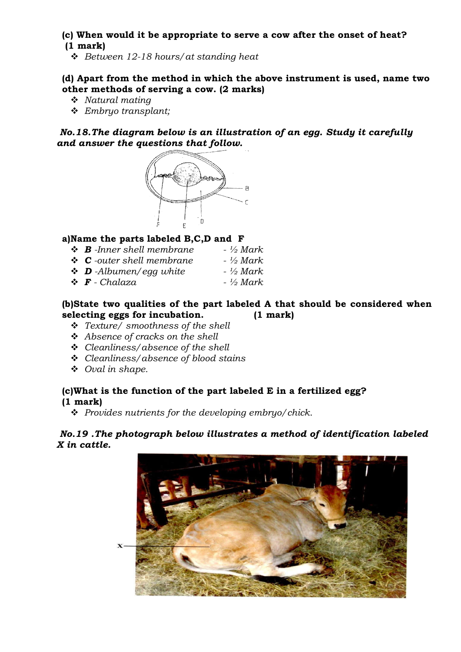#### (c) When would it be appropriate to serve a cow after the onset of heat? (1 mark)

 $\div$  Between 12-18 hours/ at standing heat

# (d) Apart from the method in which the above instrument is used, name two other methods of serving a cow. (2 marks)

- $\cdot$  Natural mating
- v Embryo transplant;

No.18.The diagram below is an illustration of an egg. Study it carefully and answer the questions that follow.



# a)Name the parts labeled B,C,D and F

| $\div$ <b>B</b> -Inner shell membrane | - ½ Mark   |
|---------------------------------------|------------|
| $\div$ <b>C</b> -outer shell membrane | $-$ ½ Mark |
| $\bullet$ <b>D</b> -Albumen/egg white | - ½ Mark   |
| $\mathbf{\hat{F}}$ - Chalaza          | $-$ ½ Mark |

#### (b)State two qualities of the part labeled A that should be considered when selecting eggs for incubation. (1 mark)

- v Texture/ smoothness of the shell
- $\triangle$  Absence of cracks on the shell
- $\div$  Cleanliness/absence of the shell
- $\div$  Cleanliness/absence of blood stains
- $\triangleleft$  Oval in shape.

# (c)What is the function of the part labeled E in a fertilized egg? (1 mark)

 $\div$  Provides nutrients for the developing embryo/chick.

#### No.19 .The photograph below illustrates a method of identification labeled X in cattle.

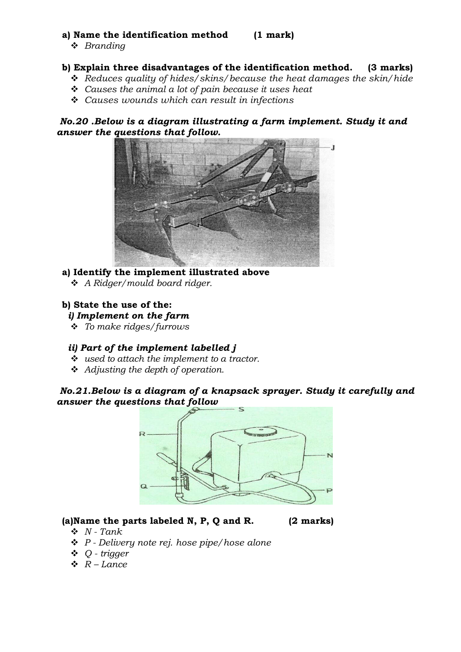# a) Name the identification method (1 mark)

 $\triangleleft$  Branding

# b) Explain three disadvantages of the identification method. (3 marks)

- $\triangleleft$  Reduces quality of hides/skins/because the heat damages the skin/hide
- $\div$  Causes the animal a lot of pain because it uses heat
- $\triangleleft$  Causes wounds which can result in infections

No.20 .Below is a diagram illustrating a farm implement. Study it and answer the questions that follow.



# a) Identify the implement illustrated above

 $\triangleleft$  A Ridger/mould board ridger.

#### b) State the use of the:

i) Implement on the farm

 $\div$  To make ridges/furrows

#### ii) Part of the implement labelled j

- $\cdot$  used to attach the implement to a tractor.
- $\triangleleft$  Adjusting the depth of operation.

# No.21.Below is a diagram of a knapsack sprayer. Study it carefully and answer the questions that follow



# (a)Name the parts labeled N, P, Q and R. (2 marks)

- $\mathbf{\hat{v}}$  N Tank
- $\div$  P Delivery note rej. hose pipe/hose alone
- $\triangleleft$  Q trigger
- $\mathbf{\hat{R}}$  Lance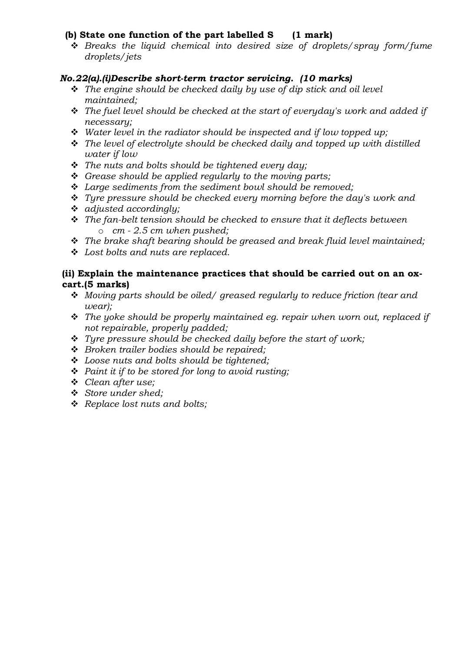# (b) State one function of the part labelled S (1 mark)

 $\div$  Breaks the liquid chemical into desired size of droplets/spray form/fume droplets/jets

# No.22(a).(i)Describe short-term tractor servicing. (10 marks)

- $\hat{\mathbf{v}}$  The engine should be checked daily by use of dip stick and oil level maintained;
- $\hat{\mathbf{v}}$  The fuel level should be checked at the start of everyday's work and added if necessary;
- $\div$  Water level in the radiator should be inspected and if low topped up;
- $\hat{\mathbf{v}}$  The level of electrolyte should be checked daily and topped up with distilled water if low
- $\cdot \cdot$  The nuts and bolts should be tightened every day;
- $\div$  Grease should be applied regularly to the moving parts;
- $\triangleleft$  Large sediments from the sediment bowl should be removed;
- $\div$  Tyre pressure should be checked every morning before the day's work and
- $\triangleleft$  adjusted accordingly;
- $\hat{v}$  The fan-belt tension should be checked to ensure that it deflects between  $\circ$  cm - 2.5 cm when pushed;
- $\hat{\mathbf{v}}$  The brake shaft bearing should be greased and break fluid level maintained;
- $\div$  Lost bolts and nuts are replaced.

#### (ii) Explain the maintenance practices that should be carried out on an oxcart.(5 marks)

- $\div$  Moving parts should be oiled/ greased regularly to reduce friction (tear and wear);
- $\hat{\mathbf{v}}$  The yoke should be properly maintained eg. repair when worn out, replaced if not repairable, properly padded;
- $\mathbf{\hat{y}}$  Tyre pressure should be checked daily before the start of work;
- $\div$  Broken trailer bodies should be repaired;
- $\triangleleft$  Loose nuts and bolts should be tightened:
- $\triangleleft$  Paint it if to be stored for long to avoid rusting;
- v Clean after use;
- v Store under shed;
- $\triangleleft$  Replace lost nuts and bolts;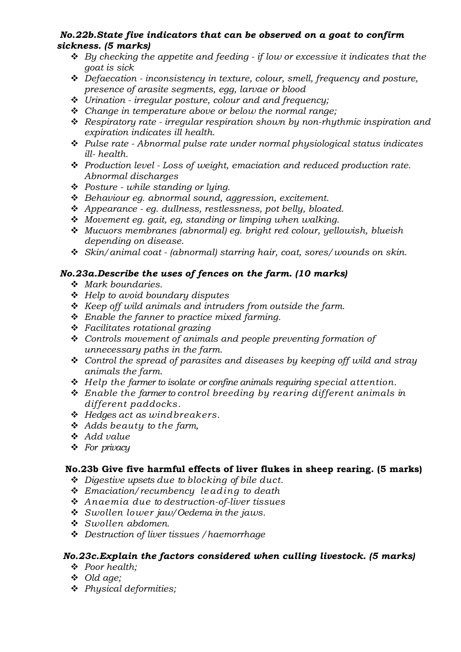# No.22b.State five indicators that can be observed on a goat to confirm sickness. (5 marks)

- $\triangleleft$  By checking the appetite and feeding if low or excessive it indicates that the goat is sick
- $\triangleleft$  Defaecation inconsistency in texture, colour, smell, frequency and posture, presence of arasite segments, egg, larvae or blood
- $\div$  Urination irregular posture, colour and and frequency;
- $\div$  Change in temperature above or below the normal range;
- $\triangleq$  Respiratory rate irregular respiration shown by non-rhythmic inspiration and expiration indicates ill health.
- $\triangle$  Pulse rate Abnormal pulse rate under normal physiological status indicates ill- health.
- $\cdot \cdot$  Production level Loss of weight, emaciation and reduced production rate. Abnormal discharges
- $\div$  Posture while standing or lying.
- $\triangleleft$  Behaviour eg. abnormal sound, aggression, excitement.
- $\triangle$  Appearance eq. dullness, restlessness, pot belly, bloated.
- $\bullet$  Movement eq. gait, eq. standing or limping when walking.
- v Mucuors membranes (abnormal) eg. bright red colour, yellowish, blueish depending on disease.
- $\hat{\mathbf{v}}$  Skin/animal coat (abnormal) starring hair, coat, sores/wounds on skin.

# No.23a.Describe the uses of fences on the farm. (10 marks)

- $\bullet$  Mark boundaries.
- $\div$  Help to avoid boundary disputes
- $\triangleleft$  Keep off wild animals and intruders from outside the farm.
- $\triangleleft$  Enable the fanner to practice mixed farming.
- $\div$  Facilitates rotational grazing
- $\div$  Controls movement of animals and people preventing formation of unnecessary paths in the farm.
- $\ddot{\bullet}$  Control the spread of parasites and diseases by keeping off wild and stray animals the farm.
- $\div$  Help the farmer to isolate or confine animals requiring special attention.
- $\triangle$  Enable the farmer to control breeding by rearing different animals in different paddocks.
- $\div$  Hedges act as windbreakers.
- $\triangleleft$  Adds beauty to the farm,
- $\triangleleft$  Add value
- $\div$  For privacy

# No.23b Give five harmful effects of liver flukes in sheep rearing. (5 marks)

- $\triangle$  Digestive upsets due to blocking of bile duct.
- $\div$  Emaciation/recumbency leading to death
- $\triangle$  Anaemia due to destruction-of-liver tissues
- $\div$  Swollen lower jaw/Oedema in the jaws.
- $\bullet$  Swollen abdomen.
- v Destruction of liver tissues /haemorrhage

# No.23c.Explain the factors considered when culling livestock. (5 marks)

- v Poor health;
- $\triangleleft$  Old age;
- $\triangleleft$  Physical deformities;